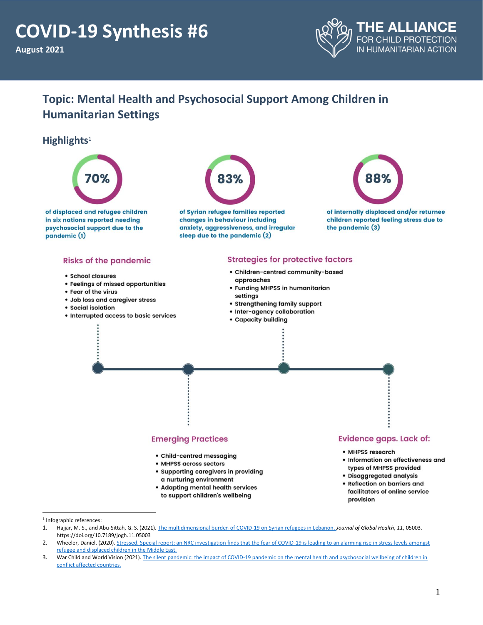

# **Topic: Mental Health and Psychosocial Support Among Children in Humanitarian Settings**

### **Highlights**<sup>1</sup>



<sup>1</sup> Infographic references:

provision

<sup>1.</sup> Hajjar, M. S., and Abu-Sittah, G. S. (2021)[. The multidimensional burden of COVID-19 on Syrian refugees in Lebanon.](https://www.ncbi.nlm.nih.gov/pmc/articles/PMC7897425/) *Journal of Global Health*, *11*, 05003. https://doi.org/10.7189/jogh.11.05003

<sup>2.</sup> Wheeler, Daniel. (2020). Stressed. Special report: an NRC investigation finds that the fear of COVID-19 is leading to an alarming rise in stress levels amongst [refugee and displaced children in the Middle East.](https://www.nrc.no/shorthand/stories/stressed/index.html)

<sup>3.</sup> War Child and World Vision (2021). The silent pandemic: the impact of COVID-19 pandemic on the mental health and psychosocial wellbeing of children in [conflict affected countries.](https://reliefweb.int/report/world/silent-pandemic-impact-covid-19-pandemic-mental-health-and-psychosocial-wellbeing)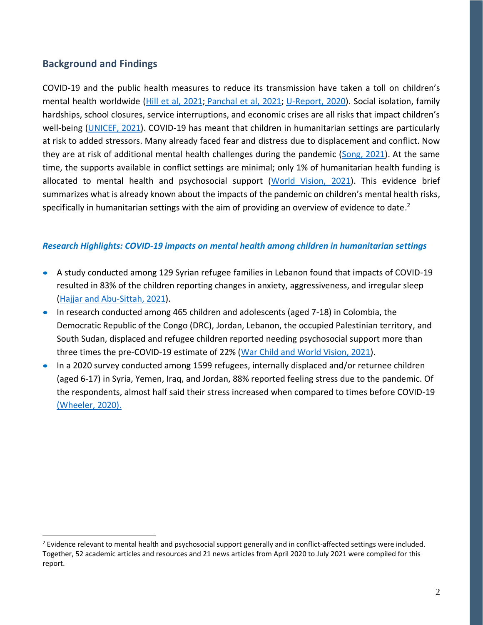## **Background and Findings**

COVID-19 and the public health measures to reduce its transmission have taken a toll on children's mental health worldwide [\(Hill et al, 2021;](https://pediatrics.aappublications.org/content/147/3/e2020029280) [Panchal et al, 2021;](https://www.kff.org/coronavirus-covid-19/issue-brief/mental-health-and-substance-use-considerations-among-children-during-the-covid-19-pandemic/) [U-Report, 2020\)](https://www.unicef.org/lac/en/impact-covid-19-mental-health-adolescents-and-youth). Social isolation, family hardships, school closures, service interruptions, and economic crises are all risks that impact children's well-being [\(UNICEF, 2021\)](https://www.unicef.org/rosa/press-releases/least-1-7-children-and-young-people-has-lived-under-stay-home-policies-most-last). COVID-19 has meant that children in humanitarian settings are particularly at risk to added stressors. Many already faced fear and distress due to displacement and conflict. Now they are at risk of additional mental health challenges during the pandemic [\(Song, 2021\)](https://pediatrics.aappublications.org/content/147/4/e2020025346). At the same time, the supports available in conflict settings are minimal; only 1% of humanitarian health funding is allocated to mental health and psychosocial support [\(World Vision, 2021\)](https://www.worldvision.ca/about-us/media-centre/refugee-children-need-mental-health-support). This evidence brief summarizes what is already known about the impacts of the pandemic on children's mental health risks, specifically in humanitarian settings with the aim of providing an overview of evidence to date.<sup>2</sup>

#### *Research Highlights: COVID-19 impacts on mental health among children in humanitarian settings*

- A study conducted among 129 Syrian refugee families in Lebanon found that impacts of COVID-19 resulted in 83% of the children reporting changes in anxiety, aggressiveness, and irregular sleep [\(Hajjar and Abu-Sittah, 2021\)](https://www.ncbi.nlm.nih.gov/pmc/articles/PMC7897425/).
- In research conducted among 465 children and adolescents (aged 7-18) in Colombia, the Democratic Republic of the Congo (DRC), Jordan, Lebanon, the occupied Palestinian territory, and South Sudan, displaced and refugee children reported needing psychosocial support more than three times the pre-COVID-19 estimate of 22% [\(War Child and World Vision, 2021\)](https://reliefweb.int/report/world/silent-pandemic-impact-covid-19-pandemic-mental-health-and-psychosocial-wellbeing).
- In a 2020 survey conducted among 1599 refugees, internally displaced and/or returnee children (aged 6-17) in Syria, Yemen, Iraq, and Jordan, 88% reported feeling stress due to the pandemic. Of the respondents, almost half said their stress increased when compared to times before COVID-19 [\(Wheeler, 2020\).](https://www.nrc.no/shorthand/stories/stressed/index.html)

<sup>&</sup>lt;sup>2</sup> Evidence relevant to mental health and psychosocial support generally and in conflict-affected settings were included. Together, 52 academic articles and resources and 21 news articles from April 2020 to July 2021 were compiled for this report.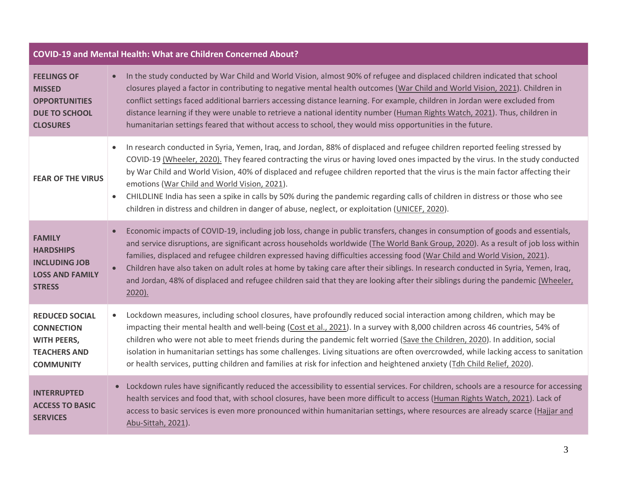| COVID-19 and Mental Health: What are Children Concerned About?                                              |                                                                                                                                                                                                                                                                                                                                                                                                                                                                                                                                                                                                                                                                                                               |  |  |  |  |
|-------------------------------------------------------------------------------------------------------------|---------------------------------------------------------------------------------------------------------------------------------------------------------------------------------------------------------------------------------------------------------------------------------------------------------------------------------------------------------------------------------------------------------------------------------------------------------------------------------------------------------------------------------------------------------------------------------------------------------------------------------------------------------------------------------------------------------------|--|--|--|--|
| <b>FEELINGS OF</b><br><b>MISSED</b><br><b>OPPORTUNITIES</b><br><b>DUE TO SCHOOL</b><br><b>CLOSURES</b>      | In the study conducted by War Child and World Vision, almost 90% of refugee and displaced children indicated that school<br>$\bullet$<br>closures played a factor in contributing to negative mental health outcomes (War Child and World Vision, 2021). Children in<br>conflict settings faced additional barriers accessing distance learning. For example, children in Jordan were excluded from<br>distance learning if they were unable to retrieve a national identity number (Human Rights Watch, 2021). Thus, children in<br>humanitarian settings feared that without access to school, they would miss opportunities in the future.                                                                 |  |  |  |  |
| <b>FEAR OF THE VIRUS</b>                                                                                    | In research conducted in Syria, Yemen, Iraq, and Jordan, 88% of displaced and refugee children reported feeling stressed by<br>$\bullet$<br>COVID-19 (Wheeler, 2020). They feared contracting the virus or having loved ones impacted by the virus. In the study conducted<br>by War Child and World Vision, 40% of displaced and refugee children reported that the virus is the main factor affecting their<br>emotions (War Child and World Vision, 2021).<br>CHILDLINE India has seen a spike in calls by 50% during the pandemic regarding calls of children in distress or those who see<br>$\bullet$<br>children in distress and children in danger of abuse, neglect, or exploitation (UNICEF, 2020). |  |  |  |  |
| <b>FAMILY</b><br><b>HARDSHIPS</b><br><b>INCLUDING JOB</b><br><b>LOSS AND FAMILY</b><br><b>STRESS</b>        | Economic impacts of COVID-19, including job loss, change in public transfers, changes in consumption of goods and essentials,<br>$\bullet$<br>and service disruptions, are significant across households worldwide (The World Bank Group, 2020). As a result of job loss within<br>families, displaced and refugee children expressed having difficulties accessing food (War Child and World Vision, 2021).<br>Children have also taken on adult roles at home by taking care after their siblings. In research conducted in Syria, Yemen, Iraq,<br>$\bullet$<br>and Jordan, 48% of displaced and refugee children said that they are looking after their siblings during the pandemic (Wheeler,<br>2020).   |  |  |  |  |
| <b>REDUCED SOCIAL</b><br><b>CONNECTION</b><br><b>WITH PEERS,</b><br><b>TEACHERS AND</b><br><b>COMMUNITY</b> | Lockdown measures, including school closures, have profoundly reduced social interaction among children, which may be<br>$\bullet$<br>impacting their mental health and well-being (Cost et al., 2021). In a survey with 8,000 children across 46 countries, 54% of<br>children who were not able to meet friends during the pandemic felt worried (Save the Children, 2020). In addition, social<br>isolation in humanitarian settings has some challenges. Living situations are often overcrowded, while lacking access to sanitation<br>or health services, putting children and families at risk for infection and heightened anxiety (Tdh Child Relief, 2020).                                          |  |  |  |  |
| <b>INTERRUPTED</b><br><b>ACCESS TO BASIC</b><br><b>SERVICES</b>                                             | Lockdown rules have significantly reduced the accessibility to essential services. For children, schools are a resource for accessing<br>health services and food that, with school closures, have been more difficult to access (Human Rights Watch, 2021). Lack of<br>access to basic services is even more pronounced within humanitarian settings, where resources are already scarce (Hajjar and<br>Abu-Sittah, 2021).                                                                                                                                                                                                                                                                                   |  |  |  |  |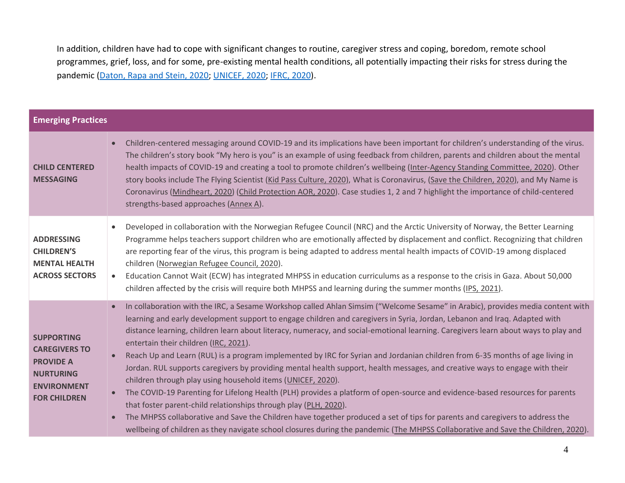In addition, children have had to cope with significant changes to routine, caregiver stress and coping, boredom, remote school programmes, grief, loss, and for some, pre-existing mental health conditions, all potentially impacting their risks for stress during the pandemic [\(Daton, Rapa and Stein, 2020;](https://www.thelancet.com/journals/lanchi/article/PIIS2352-4642(20)30097-3/fulltext) [UNICEF, 2020;](https://app.mhpss.net/?get=354/unicef_covid-19_operational_guidance_for_mhpss_implementation_and_adaptation-field-test-version-1.pdf) [IFRC, 2020\)](https://app.mhpss.net/?get=354/loss_grief_june_2020.pdf).

| <b>Emerging Practices</b>                                                                                                      |                                                                                                                                                                                                                                                                                                                                                                                                                                                                                                                                                                                                                                                                                                                                                                                                                                                                                                                                                                                                                                                                                                                                                                                                                                                                             |
|--------------------------------------------------------------------------------------------------------------------------------|-----------------------------------------------------------------------------------------------------------------------------------------------------------------------------------------------------------------------------------------------------------------------------------------------------------------------------------------------------------------------------------------------------------------------------------------------------------------------------------------------------------------------------------------------------------------------------------------------------------------------------------------------------------------------------------------------------------------------------------------------------------------------------------------------------------------------------------------------------------------------------------------------------------------------------------------------------------------------------------------------------------------------------------------------------------------------------------------------------------------------------------------------------------------------------------------------------------------------------------------------------------------------------|
| <b>CHILD CENTERED</b><br><b>MESSAGING</b>                                                                                      | Children-centered messaging around COVID-19 and its implications have been important for children's understanding of the virus.<br>$\bullet$<br>The children's story book "My hero is you" is an example of using feedback from children, parents and children about the mental<br>health impacts of COVID-19 and creating a tool to promote children's wellbeing (Inter-Agency Standing Committee, 2020). Other<br>story books include The Flying Scientist (Kid Pass Culture, 2020), What is Coronavirus, (Save the Children, 2020), and My Name is<br>Coronavirus (Mindheart, 2020) (Child Protection AOR, 2020). Case studies 1, 2 and 7 highlight the importance of child-centered<br>strengths-based approaches (Annex A).                                                                                                                                                                                                                                                                                                                                                                                                                                                                                                                                            |
| <b>ADDRESSING</b><br><b>CHILDREN'S</b><br><b>MENTAL HEALTH</b><br><b>ACROSS SECTORS</b>                                        | Developed in collaboration with the Norwegian Refugee Council (NRC) and the Arctic University of Norway, the Better Learning<br>$\bullet$<br>Programme helps teachers support children who are emotionally affected by displacement and conflict. Recognizing that children<br>are reporting fear of the virus, this program is being adapted to address mental health impacts of COVID-19 among displaced<br>children (Norwegian Refugee Council, 2020).<br>Education Cannot Wait (ECW) has integrated MHPSS in education curriculums as a response to the crisis in Gaza. About 50,000<br>children affected by the crisis will require both MHPSS and learning during the summer months (IPS, 2021).                                                                                                                                                                                                                                                                                                                                                                                                                                                                                                                                                                      |
| <b>SUPPORTING</b><br><b>CAREGIVERS TO</b><br><b>PROVIDE A</b><br><b>NURTURING</b><br><b>ENVIRONMENT</b><br><b>FOR CHILDREN</b> | In collaboration with the IRC, a Sesame Workshop called Ahlan Simsim ("Welcome Sesame" in Arabic), provides media content with<br>$\bullet$<br>learning and early development support to engage children and caregivers in Syria, Jordan, Lebanon and Iraq. Adapted with<br>distance learning, children learn about literacy, numeracy, and social-emotional learning. Caregivers learn about ways to play and<br>entertain their children (IRC, 2021).<br>Reach Up and Learn (RUL) is a program implemented by IRC for Syrian and Jordanian children from 6-35 months of age living in<br>$\bullet$<br>Jordan. RUL supports caregivers by providing mental health support, health messages, and creative ways to engage with their<br>children through play using household items (UNICEF, 2020).<br>The COVID-19 Parenting for Lifelong Health (PLH) provides a platform of open-source and evidence-based resources for parents<br>that foster parent-child relationships through play (PLH, 2020).<br>The MHPSS collaborative and Save the Children have together produced a set of tips for parents and caregivers to address the<br>wellbeing of children as they navigate school closures during the pandemic (The MHPSS Collaborative and Save the Children, 2020). |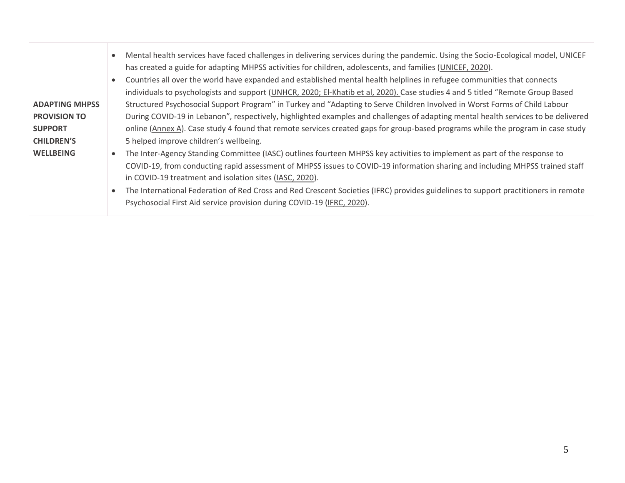|                       | Mental health services have faced challenges in delivering services during the pandemic. Using the Socio-Ecological model, UNICEF<br>has created a guide for adapting MHPSS activities for children, adolescents, and families (UNICEF, 2020).<br>Countries all over the world have expanded and established mental health helplines in refugee communities that connects |  |  |  |  |  |  |
|-----------------------|---------------------------------------------------------------------------------------------------------------------------------------------------------------------------------------------------------------------------------------------------------------------------------------------------------------------------------------------------------------------------|--|--|--|--|--|--|
| <b>ADAPTING MHPSS</b> | individuals to psychologists and support (UNHCR, 2020; El-Khatib et al, 2020). Case studies 4 and 5 titled "Remote Group Based<br>Structured Psychosocial Support Program" in Turkey and "Adapting to Serve Children Involved in Worst Forms of Child Labour                                                                                                              |  |  |  |  |  |  |
| <b>PROVISION TO</b>   | During COVID-19 in Lebanon", respectively, highlighted examples and challenges of adapting mental health services to be delivered                                                                                                                                                                                                                                         |  |  |  |  |  |  |
|                       |                                                                                                                                                                                                                                                                                                                                                                           |  |  |  |  |  |  |
| <b>SUPPORT</b>        | online (Annex A). Case study 4 found that remote services created gaps for group-based programs while the program in case study                                                                                                                                                                                                                                           |  |  |  |  |  |  |
| <b>CHILDREN'S</b>     | 5 helped improve children's wellbeing.                                                                                                                                                                                                                                                                                                                                    |  |  |  |  |  |  |
| <b>WELLBEING</b>      | The Inter-Agency Standing Committee (IASC) outlines fourteen MHPSS key activities to implement as part of the response to                                                                                                                                                                                                                                                 |  |  |  |  |  |  |
|                       | COVID-19, from conducting rapid assessment of MHPSS issues to COVID-19 information sharing and including MHPSS trained staff                                                                                                                                                                                                                                              |  |  |  |  |  |  |
|                       | in COVID-19 treatment and isolation sites (IASC, 2020).                                                                                                                                                                                                                                                                                                                   |  |  |  |  |  |  |
|                       | The International Federation of Red Cross and Red Crescent Societies (IFRC) provides guidelines to support practitioners in remote                                                                                                                                                                                                                                        |  |  |  |  |  |  |
|                       |                                                                                                                                                                                                                                                                                                                                                                           |  |  |  |  |  |  |
|                       | Psychosocial First Aid service provision during COVID-19 (IFRC, 2020).                                                                                                                                                                                                                                                                                                    |  |  |  |  |  |  |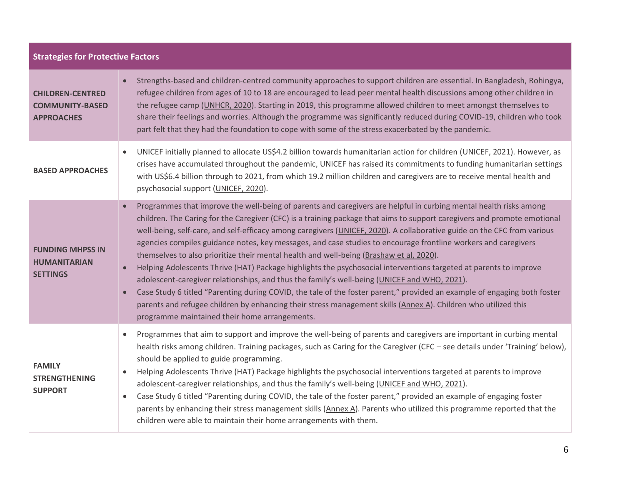| <b>Strategies for Protective Factors</b>                               |                                                                                                                                                                                                                                                                                                                                                                                                                                                                                                                                                                                                                                                                                                                                                                                                                                                                                                                                                                                                                                                                                                                                                  |  |  |  |
|------------------------------------------------------------------------|--------------------------------------------------------------------------------------------------------------------------------------------------------------------------------------------------------------------------------------------------------------------------------------------------------------------------------------------------------------------------------------------------------------------------------------------------------------------------------------------------------------------------------------------------------------------------------------------------------------------------------------------------------------------------------------------------------------------------------------------------------------------------------------------------------------------------------------------------------------------------------------------------------------------------------------------------------------------------------------------------------------------------------------------------------------------------------------------------------------------------------------------------|--|--|--|
| <b>CHILDREN-CENTRED</b><br><b>COMMUNITY-BASED</b><br><b>APPROACHES</b> | Strengths-based and children-centred community approaches to support children are essential. In Bangladesh, Rohingya,<br>refugee children from ages of 10 to 18 are encouraged to lead peer mental health discussions among other children in<br>the refugee camp (UNHCR, 2020). Starting in 2019, this programme allowed children to meet amongst themselves to<br>share their feelings and worries. Although the programme was significantly reduced during COVID-19, children who took<br>part felt that they had the foundation to cope with some of the stress exacerbated by the pandemic.                                                                                                                                                                                                                                                                                                                                                                                                                                                                                                                                                 |  |  |  |
| <b>BASED APPROACHES</b>                                                | UNICEF initially planned to allocate US\$4.2 billion towards humanitarian action for children (UNICEF, 2021). However, as<br>$\bullet$<br>crises have accumulated throughout the pandemic, UNICEF has raised its commitments to funding humanitarian settings<br>with US\$6.4 billion through to 2021, from which 19.2 million children and caregivers are to receive mental health and<br>psychosocial support (UNICEF, 2020).                                                                                                                                                                                                                                                                                                                                                                                                                                                                                                                                                                                                                                                                                                                  |  |  |  |
| <b>FUNDING MHPSS IN</b><br><b>HUMANITARIAN</b><br><b>SETTINGS</b>      | Programmes that improve the well-being of parents and caregivers are helpful in curbing mental health risks among<br>$\bullet$<br>children. The Caring for the Caregiver (CFC) is a training package that aims to support caregivers and promote emotional<br>well-being, self-care, and self-efficacy among caregivers (UNICEF, 2020). A collaborative guide on the CFC from various<br>agencies compiles guidance notes, key messages, and case studies to encourage frontline workers and caregivers<br>themselves to also prioritize their mental health and well-being (Brashaw et al, 2020).<br>Helping Adolescents Thrive (HAT) Package highlights the psychosocial interventions targeted at parents to improve<br>$\bullet$<br>adolescent-caregiver relationships, and thus the family's well-being (UNICEF and WHO, 2021).<br>Case Study 6 titled "Parenting during COVID, the tale of the foster parent," provided an example of engaging both foster<br>$\bullet$<br>parents and refugee children by enhancing their stress management skills (Annex A). Children who utilized this<br>programme maintained their home arrangements. |  |  |  |
| <b>FAMILY</b><br><b>STRENGTHENING</b><br><b>SUPPORT</b>                | Programmes that aim to support and improve the well-being of parents and caregivers are important in curbing mental<br>$\bullet$<br>health risks among children. Training packages, such as Caring for the Caregiver (CFC - see details under 'Training' below),<br>should be applied to guide programming.<br>Helping Adolescents Thrive (HAT) Package highlights the psychosocial interventions targeted at parents to improve<br>$\bullet$<br>adolescent-caregiver relationships, and thus the family's well-being (UNICEF and WHO, 2021).<br>Case Study 6 titled "Parenting during COVID, the tale of the foster parent," provided an example of engaging foster<br>$\bullet$<br>parents by enhancing their stress management skills (Annex A). Parents who utilized this programme reported that the<br>children were able to maintain their home arrangements with them.                                                                                                                                                                                                                                                                   |  |  |  |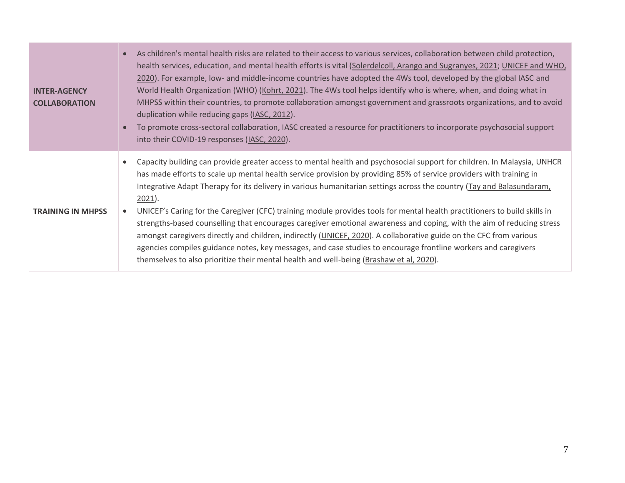| <b>INTER-AGENCY</b><br><b>COLLABORATION</b> | As children's mental health risks are related to their access to various services, collaboration between child protection,<br>$\bullet$<br>health services, education, and mental health efforts is vital (Solerdelcoll, Arango and Sugranyes, 2021; UNICEF and WHO,<br>2020). For example, low- and middle-income countries have adopted the 4Ws tool, developed by the global IASC and<br>World Health Organization (WHO) (Kohrt, 2021). The 4Ws tool helps identify who is where, when, and doing what in<br>MHPSS within their countries, to promote collaboration amongst government and grassroots organizations, and to avoid<br>duplication while reducing gaps (IASC, 2012).<br>To promote cross-sectoral collaboration, IASC created a resource for practitioners to incorporate psychosocial support<br>into their COVID-19 responses (IASC, 2020).                                                                                                                             |
|---------------------------------------------|--------------------------------------------------------------------------------------------------------------------------------------------------------------------------------------------------------------------------------------------------------------------------------------------------------------------------------------------------------------------------------------------------------------------------------------------------------------------------------------------------------------------------------------------------------------------------------------------------------------------------------------------------------------------------------------------------------------------------------------------------------------------------------------------------------------------------------------------------------------------------------------------------------------------------------------------------------------------------------------------|
| <b>TRAINING IN MHPSS</b>                    | Capacity building can provide greater access to mental health and psychosocial support for children. In Malaysia, UNHCR<br>has made efforts to scale up mental health service provision by providing 85% of service providers with training in<br>Integrative Adapt Therapy for its delivery in various humanitarian settings across the country (Tay and Balasundaram,<br>$2021$ ).<br>UNICEF's Caring for the Caregiver (CFC) training module provides tools for mental health practitioners to build skills in<br>$\bullet$<br>strengths-based counselling that encourages caregiver emotional awareness and coping, with the aim of reducing stress<br>amongst caregivers directly and children, indirectly (UNICEF, 2020). A collaborative guide on the CFC from various<br>agencies compiles guidance notes, key messages, and case studies to encourage frontline workers and caregivers<br>themselves to also prioritize their mental health and well-being (Brashaw et al, 2020). |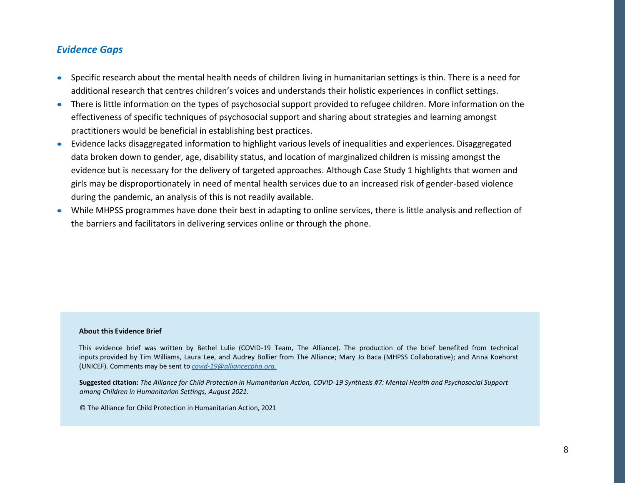#### *Evidence Gaps*

- Specific research about the mental health needs of children living in humanitarian settings is thin. There is a need for additional research that centres children's voices and understands their holistic experiences in conflict settings.
- There is little information on the types of psychosocial support provided to refugee children. More information on the effectiveness of specific techniques of psychosocial support and sharing about strategies and learning amongst practitioners would be beneficial in establishing best practices.
- Evidence lacks disaggregated information to highlight various levels of inequalities and experiences. Disaggregated data broken down to gender, age, disability status, and location of marginalized children is missing amongst the evidence but is necessary for the delivery of targeted approaches. Although Case Study 1 highlights that women and girls may be disproportionately in need of mental health services due to an increased risk of gender-based violence during the pandemic, an analysis of this is not readily available.
- While MHPSS programmes have done their best in adapting to online services, there is little analysis and reflection of the barriers and facilitators in delivering services online or through the phone.

#### **About this Evidence Brief**

<span id="page-7-0"></span>This evidence brief was written by Bethel Lulie (COVID-19 Team, The Alliance). The production of the brief benefited from technical inputs provided by Tim Williams, Laura Lee, and Audrey Bollier from The Alliance; Mary Jo Baca (MHPSS Collaborative); and Anna Koehorst (UNICEF). Comments may be sent to *covid-19@alliancecpha.org.*

**Suggested citation:** *The Alliance for Child Protection in Humanitarian Action, COVID-19 Synthesis #7: Mental Health and Psychosocial Support among Children in Humanitarian Settings, August 2021.*

© The Alliance for Child Protection in Humanitarian Action, 2021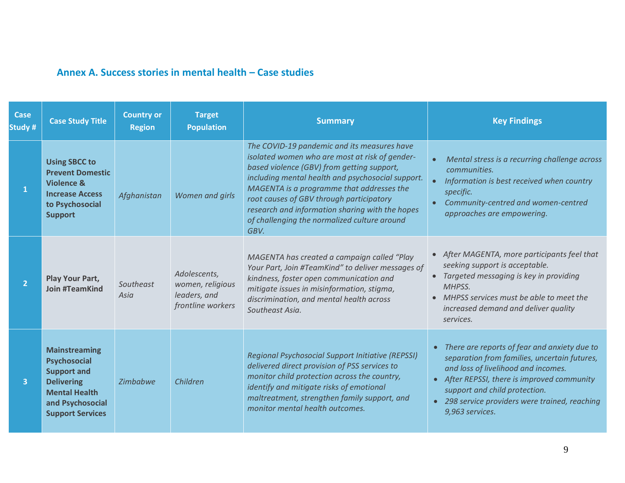## **Annex A. Success stories in mental health – Case studies**

| <b>Case</b><br>Study # | <b>Case Study Title</b>                                                                                                                                       | <b>Country or</b><br><b>Region</b> | <b>Target</b><br><b>Population</b>                                    | <b>Summary</b>                                                                                                                                                                                                                                                                                                                                                                                       | <b>Key Findings</b>                                                                                                                                                                                                                                                                                            |
|------------------------|---------------------------------------------------------------------------------------------------------------------------------------------------------------|------------------------------------|-----------------------------------------------------------------------|------------------------------------------------------------------------------------------------------------------------------------------------------------------------------------------------------------------------------------------------------------------------------------------------------------------------------------------------------------------------------------------------------|----------------------------------------------------------------------------------------------------------------------------------------------------------------------------------------------------------------------------------------------------------------------------------------------------------------|
| $\mathbf{1}$           | <b>Using SBCC to</b><br><b>Prevent Domestic</b><br><b>Violence &amp;</b><br><b>Increase Access</b><br>to Psychosocial<br><b>Support</b>                       | Afghanistan                        | Women and girls                                                       | The COVID-19 pandemic and its measures have<br>isolated women who are most at risk of gender-<br>based violence (GBV) from getting support,<br>including mental health and psychosocial support.<br>MAGENTA is a programme that addresses the<br>root causes of GBV through participatory<br>research and information sharing with the hopes<br>of challenging the normalized culture around<br>GBV. | Mental stress is a recurring challenge across<br>communities.<br>Information is best received when country<br>specific.<br>Community-centred and women-centred<br>approaches are empowering.                                                                                                                   |
| $\overline{2}$         | Play Your Part,<br><b>Join #TeamKind</b>                                                                                                                      | Southeast<br>Asia                  | Adolescents,<br>women, religious<br>leaders, and<br>frontline workers | MAGENTA has created a campaign called "Play<br>Your Part, Join #TeamKind" to deliver messages of<br>kindness, foster open communication and<br>mitigate issues in misinformation, stigma,<br>discrimination, and mental health across<br>Southeast Asia.                                                                                                                                             | • After MAGENTA, more participants feel that<br>seeking support is acceptable.<br>• Targeted messaging is key in providing<br>MHPSS.<br>MHPSS services must be able to meet the<br>increased demand and deliver quality<br>services.                                                                           |
| $\overline{3}$         | <b>Mainstreaming</b><br><b>Psychosocial</b><br><b>Support and</b><br><b>Delivering</b><br><b>Mental Health</b><br>and Psychosocial<br><b>Support Services</b> | <b>Zimbabwe</b>                    | Children                                                              | <b>Regional Psychosocial Support Initiative (REPSSI)</b><br>delivered direct provision of PSS services to<br>monitor child protection across the country,<br>identify and mitigate risks of emotional<br>maltreatment, strengthen family support, and<br>monitor mental health outcomes.                                                                                                             | There are reports of fear and anxiety due to<br>$\bullet$<br>separation from families, uncertain futures,<br>and loss of livelihood and incomes.<br>After REPSSI, there is improved community<br>$\bullet$<br>support and child protection.<br>298 service providers were trained, reaching<br>9,963 services. |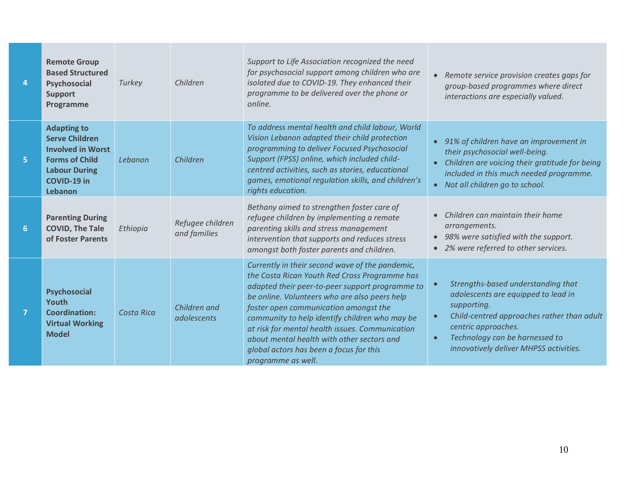| 4              | <b>Remote Group</b><br><b>Based Structured</b><br>Psychosocial<br><b>Support</b><br>Programme                                                             | Turkey            | Children                         | Support to Life Association recognized the need<br>for psychosocial support among children who are<br>isolated due to COVID-19. They enhanced their<br>programme to be delivered over the phone or<br>online.                                                                                                                                                                                                                                                     | • Remote service provision creates gaps for<br>group-based programmes where direct<br>interactions are especially valued.                                                                                                                              |
|----------------|-----------------------------------------------------------------------------------------------------------------------------------------------------------|-------------------|----------------------------------|-------------------------------------------------------------------------------------------------------------------------------------------------------------------------------------------------------------------------------------------------------------------------------------------------------------------------------------------------------------------------------------------------------------------------------------------------------------------|--------------------------------------------------------------------------------------------------------------------------------------------------------------------------------------------------------------------------------------------------------|
| 5              | <b>Adapting to</b><br><b>Serve Children</b><br><b>Involved in Worst</b><br><b>Forms of Child</b><br><b>Labour During</b><br><b>COVID-19 in</b><br>Lebanon | Lebanon           | Children                         | To address mental health and child labour, World<br>Vision Lebanon adapted their child protection<br>programming to deliver Focused Psychosocial<br>Support (FPSS) online, which included child-<br>centred activities, such as stories, educational<br>games, emotional regulation skills, and children's<br>rights education.                                                                                                                                   | 91% of children have an improvement in<br>their psychosocial well-being.<br>Children are voicing their gratitude for being<br>$\bullet$<br>included in this much needed programme.<br>Not all children go to school.<br>$\bullet$                      |
| $6\phantom{1}$ | <b>Parenting During</b><br><b>COVID, The Tale</b><br>of Foster Parents                                                                                    | Ethiopia          | Refugee children<br>and families | Bethany aimed to strengthen foster care of<br>refugee children by implementing a remote<br>parenting skills and stress management<br>intervention that supports and reduces stress<br>amongst both foster parents and children.                                                                                                                                                                                                                                   | Children can maintain their home<br>arrangements.<br>• 98% were satisfied with the support.<br>• 2% were referred to other services.                                                                                                                   |
| $\overline{7}$ | Psychosocial<br>Youth<br><b>Coordination:</b><br><b>Virtual Working</b><br><b>Model</b>                                                                   | <b>Costa Rica</b> | Children and<br>adolescents      | Currently in their second wave of the pandemic,<br>the Costa Rican Youth Red Cross Programme has<br>adapted their peer-to-peer support programme to<br>be online. Volunteers who are also peers help<br>foster open communication amongst the<br>community to help identify children who may be<br>at risk for mental health issues. Communication<br>about mental health with other sectors and<br>global actors has been a focus for this<br>programme as well. | Strengths-based understanding that<br>adolescents are equipped to lead in<br>supporting.<br>Child-centred approaches rather than adult<br>centric approaches.<br>Technology can be harnessed to<br>$\bullet$<br>innovatively deliver MHPSS activities. |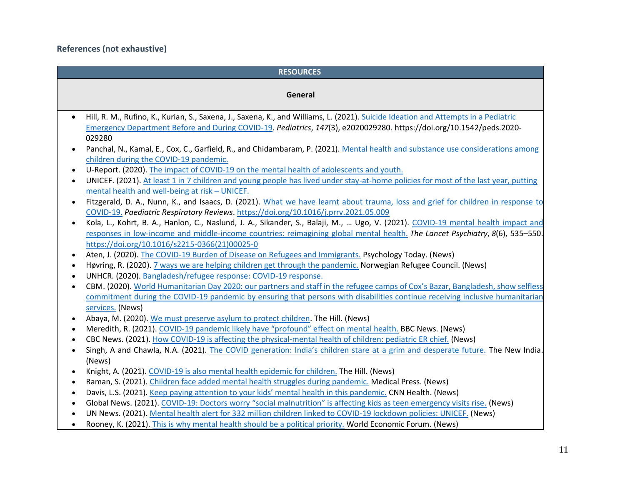**References (not exhaustive)** 

|           | <b>RESOURCES</b>                                                                                                                                                                                                                                                |
|-----------|-----------------------------------------------------------------------------------------------------------------------------------------------------------------------------------------------------------------------------------------------------------------|
|           | General                                                                                                                                                                                                                                                         |
|           |                                                                                                                                                                                                                                                                 |
|           | Hill, R. M., Rufino, K., Kurian, S., Saxena, J., Saxena, K., and Williams, L. (2021). Suicide Ideation and Attempts in a Pediatric                                                                                                                              |
|           | Emergency Department Before and During COVID-19. Pediatrics, 147(3), e2020029280. https://doi.org/10.1542/peds.2020-                                                                                                                                            |
|           | 029280                                                                                                                                                                                                                                                          |
|           | Panchal, N., Kamal, E., Cox, C., Garfield, R., and Chidambaram, P. (2021). Mental health and substance use considerations among                                                                                                                                 |
|           | children during the COVID-19 pandemic.                                                                                                                                                                                                                          |
| $\bullet$ | U-Report. (2020). The impact of COVID-19 on the mental health of adolescents and youth.                                                                                                                                                                         |
| $\bullet$ | UNICEF. (2021). At least 1 in 7 children and young people has lived under stay-at-home policies for most of the last year, putting                                                                                                                              |
|           | mental health and well-being at risk - UNICEF.                                                                                                                                                                                                                  |
|           | Fitzgerald, D. A., Nunn, K., and Isaacs, D. (2021). What we have learnt about trauma, loss and grief for children in response to                                                                                                                                |
|           | COVID-19. Paediatric Respiratory Reviews. https://doi.org/10.1016/j.prrv.2021.05.009                                                                                                                                                                            |
| $\bullet$ | Kola, L., Kohrt, B. A., Hanlon, C., Naslund, J. A., Sikander, S., Balaji, M.,  Ugo, V. (2021). COVID-19 mental health impact and                                                                                                                                |
|           | responses in low-income and middle-income countries: reimagining global mental health. The Lancet Psychiatry, 8(6), 535–550.                                                                                                                                    |
|           | https://doi.org/10.1016/s2215-0366(21)00025-0                                                                                                                                                                                                                   |
|           | Aten, J. (2020). The COVID-19 Burden of Disease on Refugees and Immigrants. Psychology Today. (News)                                                                                                                                                            |
| $\bullet$ | Høvring, R. (2020). 7 ways we are helping children get through the pandemic. Norwegian Refugee Council. (News)                                                                                                                                                  |
| $\bullet$ | UNHCR. (2020). Bangladesh/refugee response: COVID-19 response.                                                                                                                                                                                                  |
| $\bullet$ | CBM. (2020). World Humanitarian Day 2020: our partners and staff in the refugee camps of Cox's Bazar, Bangladesh, show selfless<br>commitment during the COVID-19 pandemic by ensuring that persons with disabilities continue receiving inclusive humanitarian |
|           | services. (News)                                                                                                                                                                                                                                                |
| $\bullet$ | Abaya, M. (2020). We must preserve asylum to protect children. The Hill. (News)                                                                                                                                                                                 |
| $\bullet$ | Meredith, R. (2021). COVID-19 pandemic likely have "profound" effect on mental health. BBC News. (News)                                                                                                                                                         |
| $\bullet$ | CBC News. (2021). How COVID-19 is affecting the physical-mental health of children: pediatric ER chief. (News)                                                                                                                                                  |
|           | Singh, A and Chawla, N.A. (2021). The COVID generation: India's children stare at a grim and desperate future. The New India.                                                                                                                                   |
|           | (News)                                                                                                                                                                                                                                                          |
|           | Knight, A. (2021). COVID-19 is also mental health epidemic for children. The Hill. (News)                                                                                                                                                                       |
| $\bullet$ | Raman, S. (2021). Children face added mental health struggles during pandemic. Medical Press. (News)                                                                                                                                                            |
|           | Davis, L.S. (2021). Keep paying attention to your kids' mental health in this pandemic. CNN Health. (News)                                                                                                                                                      |
|           | Global News. (2021). COVID-19: Doctors worry "social malnutrition" is affecting kids as teen emergency visits rise. (News)                                                                                                                                      |
| $\bullet$ | UN News. (2021). Mental health alert for 332 million children linked to COVID-19 lockdown policies: UNICEF. (News)                                                                                                                                              |

• Rooney, K. (2021). [This is why mental health should be a political priority.](https://www.weforum.org/agenda/2021/01/poverty-mental-health-covid-intervention/) World Economic Forum. (News)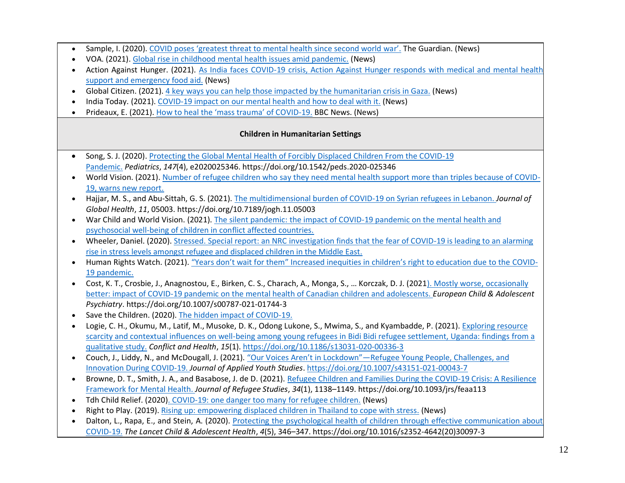- Sample, I. (2020). [COVID poses 'greatest threat to mental health since second world war'.](https://www.theguardian.com/society/2020/dec/27/covid-poses-greatest-threat-to-mental-health-since-second-world-war) The Guardian. (News)
- VOA. (2021). [Global rise in childhood mental health issues amid pandemic.](https://www.voanews.com/covid-19-pandemic/global-rise-childhood-mental-health-issues-amid-pandemic) (News)
- Action Against Hunger. (2021). [As India faces COVID-19 crisis, Action Against Hunger responds with medical and mental health](https://reliefweb.int/report/india/india-faces-covid-19-crisis-action-against-hunger-responds-medical-and-mental-health)  [support and emergency food aid.](https://reliefweb.int/report/india/india-faces-covid-19-crisis-action-against-hunger-responds-medical-and-mental-health) (News)
- Global Citizen. (2021). [4 key ways you can help those impacted by the humanitarian crisis in Gaza.](https://www.globalcitizen.org/en/content/gaza-crisis-israel-palestine-how-to-help/?template=next) (News)
- India Today. (2021). [COVID-19 impact on our mental health and how to deal with it.](https://www.indiatoday.in/coronavirus-outbreak/story/the-covid-19-impact-on-our-mental-health-and-how-to-deal-with-it-doctors-roundtable-1796078-2021-04-29) (News)
- Prideaux, E. (2021). [How to heal the 'mass trauma' of COVID](https://www.bbc.com/future/article/20210203-after-the-covid-19-pandemic-how-will-we-heal)-19. BBC News. (News)

#### **Children in Humanitarian Settings**

- Song, S. J. (2020). [Protecting the Global Mental Health of Forcibly Displaced Children From the COVID-19](https://pediatrics.aappublications.org/content/147/4/e2020025346)  [Pandemic.](https://pediatrics.aappublications.org/content/147/4/e2020025346) *Pediatrics*, *147*(4), e2020025346. https://doi.org/10.1542/peds.2020-025346
- World Vision. (2021). [Number of refugee children who say they need mental health support more than triples because of COVID-](https://www.worldvision.ca/about-us/media-centre/refugee-children-need-mental-health-support)[19, warns new report.](https://www.worldvision.ca/about-us/media-centre/refugee-children-need-mental-health-support)
- Hajjar, M. S., and Abu-Sittah, G. S. (2021). [The multidimensional burden of COVID-19 on Syrian refugees in Lebanon.](https://www.ncbi.nlm.nih.gov/pmc/articles/PMC7897425/) *Journal of Global Health*, *11*, 05003. https://doi.org/10.7189/jogh.11.05003
- War Child and World Vision. (2021). [The silent pandemic: the impact of COVID-19 pandemic on the mental health and](https://reliefweb.int/report/world/silent-pandemic-impact-covid-19-pandemic-mental-health-and-psychosocial-wellbeing)  [psychosocial well-being of children in conflict affected countries.](https://reliefweb.int/report/world/silent-pandemic-impact-covid-19-pandemic-mental-health-and-psychosocial-wellbeing)
- Wheeler, Daniel. (2020). [Stressed. Special report: an NRC investigation finds that the fear of COVID-19 is leading to an alarming](https://www.nrc.no/shorthand/stories/stressed/index.html)  [rise in stress levels amongst refugee and displaced children in the Middle East.](https://www.nrc.no/shorthand/stories/stressed/index.html)
- Human Rights Watch. (2021). ["Years don't wait for them" Increased inequities in children's right to education due to the](https://www.hrw.org/report/2021/05/17/years-dont-wait-them/increased-inequalities-childrens-right-education-due-covid) COVID-[19 pandemic.](https://www.hrw.org/report/2021/05/17/years-dont-wait-them/increased-inequalities-childrens-right-education-due-covid)
- Cost, K. T., Crosbie, J., Anagnostou, E., Birken, C. S., Charach, A., Monga, S., … Korczak, D. J. (2021[\). Mostly worse, occasionally](https://link.springer.com/article/10.1007/s00787-021-01744-3)  [better: impact of COVID-19 pandemic on the mental health of Canadian children and adolescents.](https://link.springer.com/article/10.1007/s00787-021-01744-3) *European Child & Adolescent Psychiatry*. https://doi.org/10.1007/s00787-021-01744-3
- Save the Children. (2020)[. The hidden impact of COVID-19.](https://resourcecentre.savethechildren.net/node/18174/pdf/the_hidden_impact_of_covid-19_on_child_protection_and_wellbeing.pdf)
- Logie, C. H., Okumu, M., Latif, M., Musoke, D. K., Odong Lukone, S., Mwima, S., and Kyambadde, P. (2021)[. Exploring resource](https://conflictandhealth.biomedcentral.com/articles/10.1186/s13031-020-00336-3)  [scarcity and contextual influences on well-being among young refugees in Bidi Bidi refugee settlement, Uganda: findings from a](https://conflictandhealth.biomedcentral.com/articles/10.1186/s13031-020-00336-3)  [qualitative study.](https://conflictandhealth.biomedcentral.com/articles/10.1186/s13031-020-00336-3) *Conflict and Health*, *15*(1).<https://doi.org/10.1186/s13031-020-00336-3>
- Couch, J., Liddy, N., and McDougall, J. (2021). "Our Voices Aren't in Lockdown"—[Refugee Young People, Challenges, and](https://link.springer.com/article/10.1007/s43151-021-00043-7)  [Innovation During COVID-19.](https://link.springer.com/article/10.1007/s43151-021-00043-7) *Journal of Applied Youth Studies*.<https://doi.org/10.1007/s43151-021-00043-7>
- Browne, D. T., Smith, J. A., and Basabose, J. de D. (2021). [Refugee Children and Families During the COVID-19 Crisis: A Resilience](https://academic.oup.com/jrs/article/34/1/1138/6126387)  [Framework for Mental Health.](https://academic.oup.com/jrs/article/34/1/1138/6126387) *Journal of Refugee Studies*, *34*(1), 1138–1149. https://doi.org/10.1093/jrs/feaa113
- Tdh Child Relief. (2020[\). COVID-19: one danger too many for refugee children.](https://reliefweb.int/report/greece/covid-19-one-danger-too-many-refugee-children) (News)
- Right to Play. (2019). [Rising up: empowering displaced children in Thailand to cope with stress.](https://www.righttoplay.ca/en-ca/stories/rising-up-empowering-displaced-children-in-thailand-to-cope-with-crisis/) (News)
- Dalton, L., Rapa, E., and Stein, A. (2020). [Protecting the psychological health of children through effective communication about](https://www.thelancet.com/journals/lanchi/article/PIIS2352-4642(20)30097-3/fulltext)  [COVID-19.](https://www.thelancet.com/journals/lanchi/article/PIIS2352-4642(20)30097-3/fulltext) *The Lancet Child & Adolescent Health*, *4*(5), 346–347. https://doi.org/10.1016/s2352-4642(20)30097-3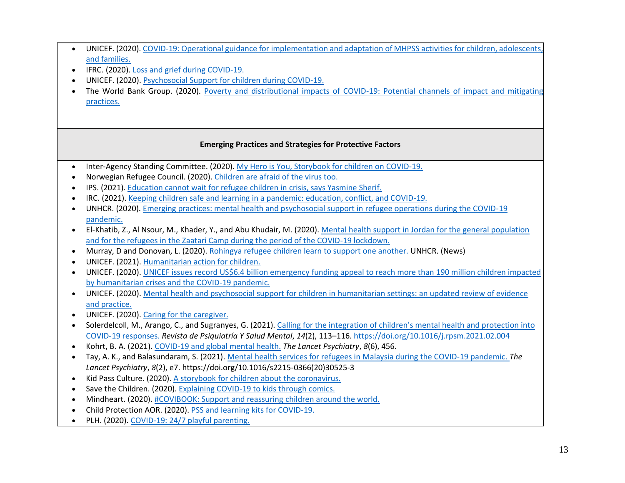|           | UNICEF. (2020). COVID-19: Operational guidance for implementation and adaptation of MHPSS activities for children, adolescents,     |
|-----------|-------------------------------------------------------------------------------------------------------------------------------------|
|           | and families.                                                                                                                       |
|           | IFRC. (2020). Loss and grief during COVID-19.                                                                                       |
|           | UNICEF. (2020). Psychosocial Support for children during COVID-19.                                                                  |
|           | The World Bank Group. (2020). Poverty and distributional impacts of COVID-19: Potential channels of impact and mitigating           |
|           | practices.                                                                                                                          |
|           |                                                                                                                                     |
|           |                                                                                                                                     |
|           | <b>Emerging Practices and Strategies for Protective Factors</b>                                                                     |
| $\bullet$ | Inter-Agency Standing Committee. (2020). My Hero is You, Storybook for children on COVID-19.                                        |
|           | Norwegian Refugee Council. (2020). Children are afraid of the virus too.                                                            |
|           | IPS. (2021). Education cannot wait for refugee children in crisis, says Yasmine Sherif.                                             |
|           | IRC. (2021). Keeping children safe and learning in a pandemic: education, conflict, and COVID-19.                                   |
|           | UNHCR. (2020). Emerging practices: mental health and psychosocial support in refugee operations during the COVID-19                 |
|           | pandemic.                                                                                                                           |
| $\bullet$ | El-Khatib, Z., Al Nsour, M., Khader, Y., and Abu Khudair, M. (2020). Mental health support in Jordan for the general population     |
|           | and for the refugees in the Zaatari Camp during the period of the COVID-19 lockdown.                                                |
| $\bullet$ | Murray, D and Donovan, L. (2020). Rohingya refugee children learn to support one another. UNHCR. (News)                             |
|           | UNICEF. (2021). Humanitarian action for children.                                                                                   |
| $\bullet$ | UNICEF. (2020). UNICEF issues record US\$6.4 billion emergency funding appeal to reach more than 190 million children impacted      |
|           | by humanitarian crises and the COVID-19 pandemic.                                                                                   |
| $\bullet$ | UNICEF. (2020). Mental health and psychosocial support for children in humanitarian settings: an updated review of evidence         |
|           | and practice.                                                                                                                       |
|           | UNICEF. (2020). Caring for the caregiver.                                                                                           |
| $\bullet$ | Solerdelcoll, M., Arango, C., and Sugranyes, G. (2021). Calling for the integration of children's mental health and protection into |
|           | COVID-19 responses. Revista de Psiquiatría Y Salud Mental, 14(2), 113-116. https://doi.org/10.1016/j.rpsm.2021.02.004               |
| $\bullet$ | Kohrt, B. A. (2021). COVID-19 and global mental health. The Lancet Psychiatry, 8(6), 456.                                           |
| $\bullet$ | Tay, A. K., and Balasundaram, S. (2021). Mental health services for refugees in Malaysia during the COVID-19 pandemic. The          |
|           | Lancet Psychiatry, 8(2), e7. https://doi.org/10.1016/s2215-0366(20)30525-3                                                          |
|           | Kid Pass Culture. (2020). A storybook for children about the coronavirus.                                                           |
| $\bullet$ | Save the Children. (2020). Explaining COVID-19 to kids through comics.                                                              |
| $\bullet$ | Mindheart. (2020). #COVIBOOK: Support and reassuring children around the world.                                                     |
| $\bullet$ | Child Protection AOR. (2020). PSS and learning kits for COVID-19.                                                                   |
|           | PLH. (2020). COVID-19: 24/7 playful parenting.                                                                                      |
|           |                                                                                                                                     |